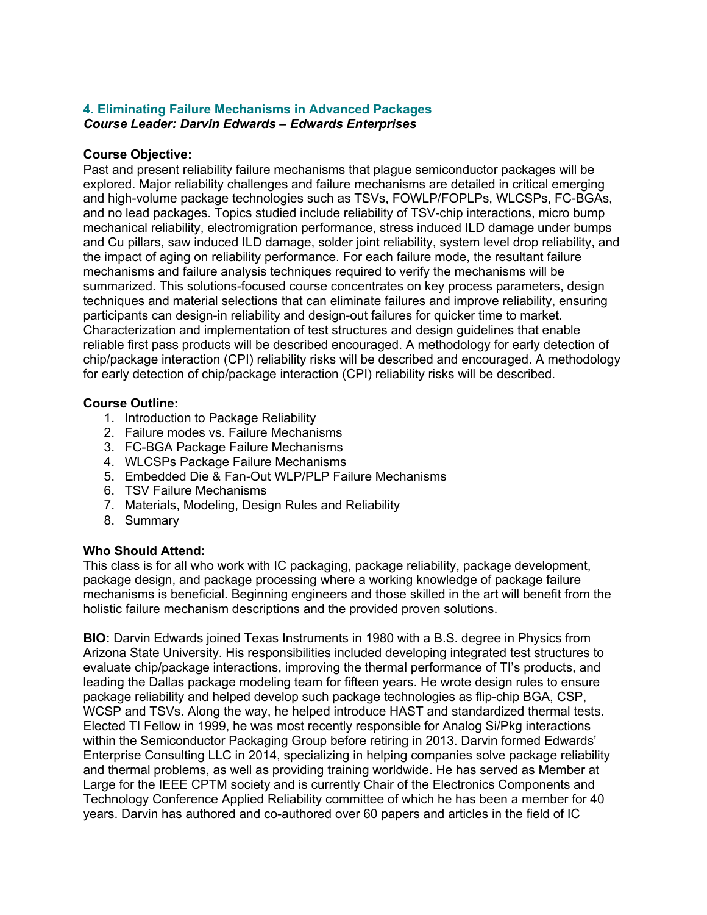## **4. Eliminating Failure Mechanisms in Advanced Packages** *Course Leader: Darvin Edwards – Edwards Enterprises*

## **Course Objective:**

Past and present reliability failure mechanisms that plague semiconductor packages will be explored. Major reliability challenges and failure mechanisms are detailed in critical emerging and high-volume package technologies such as TSVs, FOWLP/FOPLPs, WLCSPs, FC-BGAs, and no lead packages. Topics studied include reliability of TSV-chip interactions, micro bump mechanical reliability, electromigration performance, stress induced ILD damage under bumps and Cu pillars, saw induced ILD damage, solder joint reliability, system level drop reliability, and the impact of aging on reliability performance. For each failure mode, the resultant failure mechanisms and failure analysis techniques required to verify the mechanisms will be summarized. This solutions-focused course concentrates on key process parameters, design techniques and material selections that can eliminate failures and improve reliability, ensuring participants can design-in reliability and design-out failures for quicker time to market. Characterization and implementation of test structures and design guidelines that enable reliable first pass products will be described encouraged. A methodology for early detection of chip/package interaction (CPI) reliability risks will be described and encouraged. A methodology for early detection of chip/package interaction (CPI) reliability risks will be described.

## **Course Outline:**

- 1. Introduction to Package Reliability
- 2. Failure modes vs. Failure Mechanisms
- 3. FC-BGA Package Failure Mechanisms
- 4. WLCSPs Package Failure Mechanisms
- 5. Embedded Die & Fan-Out WLP/PLP Failure Mechanisms
- 6. TSV Failure Mechanisms
- 7. Materials, Modeling, Design Rules and Reliability
- 8. Summary

## **Who Should Attend:**

This class is for all who work with IC packaging, package reliability, package development, package design, and package processing where a working knowledge of package failure mechanisms is beneficial. Beginning engineers and those skilled in the art will benefit from the holistic failure mechanism descriptions and the provided proven solutions.

**BIO:** Darvin Edwards joined Texas Instruments in 1980 with a B.S. degree in Physics from Arizona State University. His responsibilities included developing integrated test structures to evaluate chip/package interactions, improving the thermal performance of TI's products, and leading the Dallas package modeling team for fifteen years. He wrote design rules to ensure package reliability and helped develop such package technologies as flip-chip BGA, CSP, WCSP and TSVs. Along the way, he helped introduce HAST and standardized thermal tests. Elected TI Fellow in 1999, he was most recently responsible for Analog Si/Pkg interactions within the Semiconductor Packaging Group before retiring in 2013. Darvin formed Edwards' Enterprise Consulting LLC in 2014, specializing in helping companies solve package reliability and thermal problems, as well as providing training worldwide. He has served as Member at Large for the IEEE CPTM society and is currently Chair of the Electronics Components and Technology Conference Applied Reliability committee of which he has been a member for 40 years. Darvin has authored and co-authored over 60 papers and articles in the field of IC